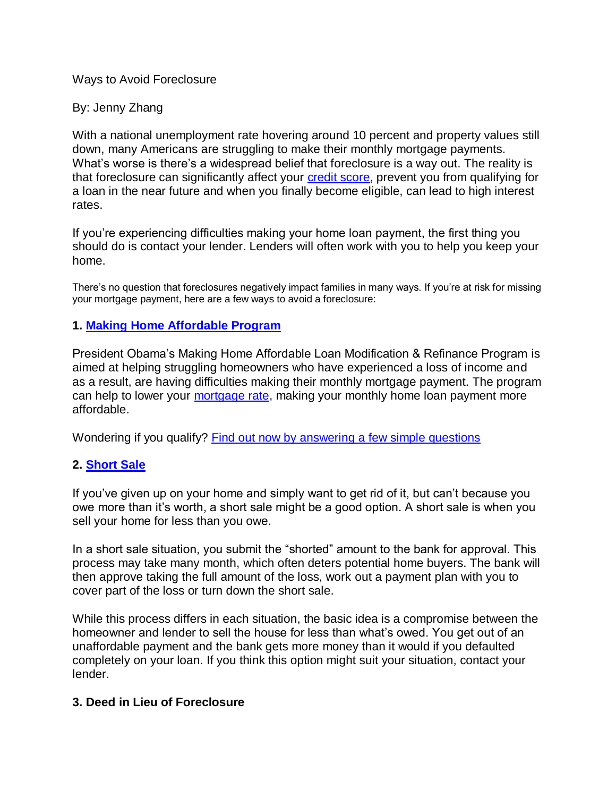### Ways to Avoid Foreclosure

### By: Jenny Zhang

With a national unemployment rate hovering around 10 percent and property values still down, many Americans are struggling to make their monthly mortgage payments. What's worse is there's a widespread belief that foreclosure is a way out. The reality is that foreclosure can significantly affect your [credit score,](https://www.quizzle.com/what-is-quizzle/free-credit-score) prevent you from qualifying for a loan in the near future and when you finally become eligible, can lead to high interest rates.

If you're experiencing difficulties making your home loan payment, the first thing you should do is contact your lender. Lenders will often work with you to help you keep your home.

There's no question that foreclosures negatively impact families in many ways. If you're at risk for missing your mortgage payment, here are a few ways to avoid a foreclosure:

## **1. [Making Home Affordable Program](https://www.quickenloans.com/mortgage-options/obama-making-home-affordable)**

President Obama's Making Home Affordable Loan Modification & Refinance Program is aimed at helping struggling homeowners who have experienced a loss of income and as a result, are having difficulties making their monthly mortgage payment. The program can help to lower your [mortgage rate,](http://www.quickenloans.com/mortgage-rate/) making your monthly home loan payment more affordable.

Wondering if you qualify? [Find out now by answering a few simple questions](https://www.quickenloans.com/mortgage-options/obama-making-home-affordable)

# **2. [Short Sale](http://www.quickenloans.com/mortgage-news/how-do-short-sales-work-5764)**

If you've given up on your home and simply want to get rid of it, but can't because you owe more than it's worth, a short sale might be a good option. A short sale is when you sell your home for less than you owe.

In a short sale situation, you submit the "shorted" amount to the bank for approval. This process may take many month, which often deters potential home buyers. The bank will then approve taking the full amount of the loss, work out a payment plan with you to cover part of the loss or turn down the short sale.

While this process differs in each situation, the basic idea is a compromise between the homeowner and lender to sell the house for less than what's owed. You get out of an unaffordable payment and the bank gets more money than it would if you defaulted completely on your loan. If you think this option might suit your situation, contact your lender.

### **3. Deed in Lieu of Foreclosure**